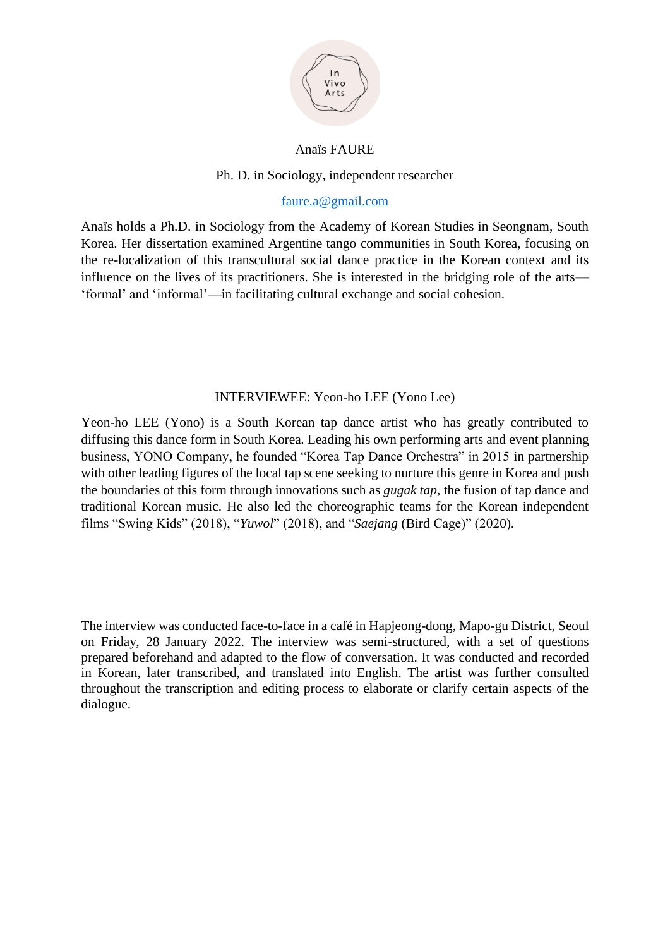

#### Anaïs FAURE

#### Ph. D. in Sociology, independent researcher

#### [faure.a@gmail.com](mailto:faure.a@gmail.com)

Anaïs holds a Ph.D. in Sociology from the Academy of Korean Studies in Seongnam, South Korea. Her dissertation examined Argentine tango communities in South Korea, focusing on the re-localization of this transcultural social dance practice in the Korean context and its influence on the lives of its practitioners. She is interested in the bridging role of the arts— 'formal' and 'informal'—in facilitating cultural exchange and social cohesion.

#### INTERVIEWEE: Yeon-ho LEE (Yono Lee)

Yeon-ho LEE (Yono) is a South Korean tap dance artist who has greatly contributed to diffusing this dance form in South Korea. Leading his own performing arts and event planning business, YONO Company, he founded "Korea Tap Dance Orchestra" in 2015 in partnership with other leading figures of the local tap scene seeking to nurture this genre in Korea and push the boundaries of this form through innovations such as *gugak tap*, the fusion of tap dance and traditional Korean music. He also led the choreographic teams for the Korean independent films "Swing Kids" (2018), "*Yuwol*" (2018), and "*Saejang* (Bird Cage)" (2020).

The interview was conducted face-to-face in a café in Hapjeong-dong, Mapo-gu District, Seoul on Friday, 28 January 2022. The interview was semi-structured, with a set of questions prepared beforehand and adapted to the flow of conversation. It was conducted and recorded in Korean, later transcribed, and translated into English. The artist was further consulted throughout the transcription and editing process to elaborate or clarify certain aspects of the dialogue.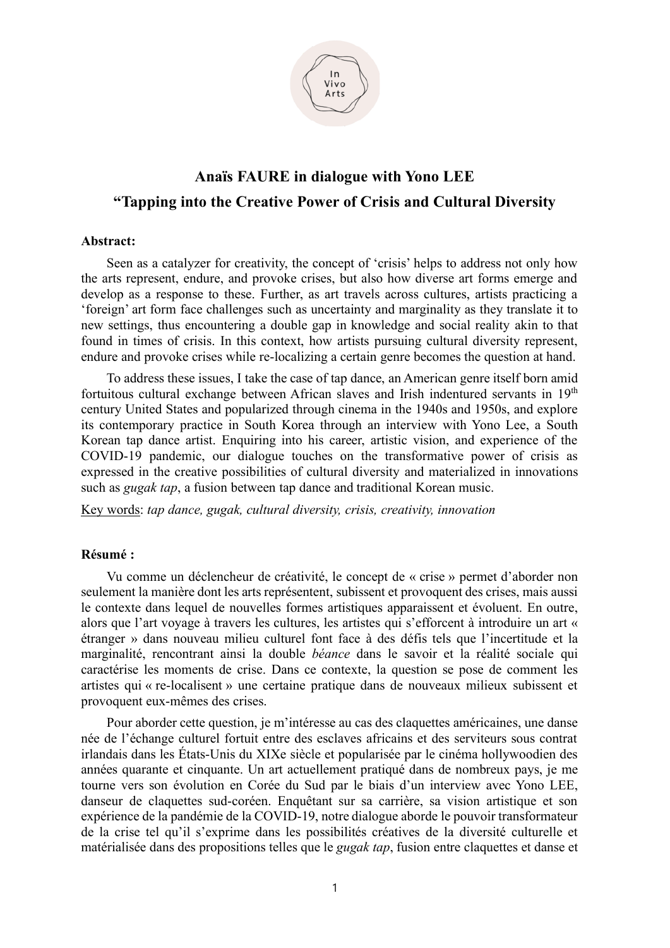

# **Anaïs FAURE in dialogue with Yono LEE "Tapping into the Creative Power of Crisis and Cultural Diversity**

#### **Abstract:**

Seen as a catalyzer for creativity, the concept of 'crisis' helps to address not only how the arts represent, endure, and provoke crises, but also how diverse art forms emerge and develop as a response to these. Further, as art travels across cultures, artists practicing a 'foreign' art form face challenges such as uncertainty and marginality as they translate it to new settings, thus encountering a double gap in knowledge and social reality akin to that found in times of crisis. In this context, how artists pursuing cultural diversity represent, endure and provoke crises while re-localizing a certain genre becomes the question at hand.

To address these issues, I take the case of tap dance, an American genre itself born amid fortuitous cultural exchange between African slaves and Irish indentured servants in 19<sup>th</sup> century United States and popularized through cinema in the 1940s and 1950s, and explore its contemporary practice in South Korea through an interview with Yono Lee, a South Korean tap dance artist. Enquiring into his career, artistic vision, and experience of the COVID-19 pandemic, our dialogue touches on the transformative power of crisis as expressed in the creative possibilities of cultural diversity and materialized in innovations such as *gugak tap*, a fusion between tap dance and traditional Korean music.

Key words: *tap dance, gugak, cultural diversity, crisis, creativity, innovation*

#### **Résumé :**

Vu comme un déclencheur de créativité, le concept de « crise » permet d'aborder non seulement la manière dont les arts représentent, subissent et provoquent des crises, mais aussi le contexte dans lequel de nouvelles formes artistiques apparaissent et évoluent. En outre, alors que l'art voyage à travers les cultures, les artistes qui s'efforcent à introduire un art « étranger » dans nouveau milieu culturel font face à des défis tels que l'incertitude et la marginalité, rencontrant ainsi la double *béance* dans le savoir et la réalité sociale qui caractérise les moments de crise. Dans ce contexte, la question se pose de comment les artistes qui « re-localisent » une certaine pratique dans de nouveaux milieux subissent et provoquent eux-mêmes des crises.

Pour aborder cette question, je m'intéresse au cas des claquettes américaines, une danse née de l'échange culturel fortuit entre des esclaves africains et des serviteurs sous contrat irlandais dans les États-Unis du XIXe siècle et popularisée par le cinéma hollywoodien des années quarante et cinquante. Un art actuellement pratiqué dans de nombreux pays, je me tourne vers son évolution en Corée du Sud par le biais d'un interview avec Yono LEE, danseur de claquettes sud-coréen. Enquêtant sur sa carrière, sa vision artistique et son expérience de la pandémie de la COVID-19, notre dialogue aborde le pouvoir transformateur de la crise tel qu'il s'exprime dans les possibilités créatives de la diversité culturelle et matérialisée dans des propositions telles que le *gugak tap*, fusion entre claquettes et danse et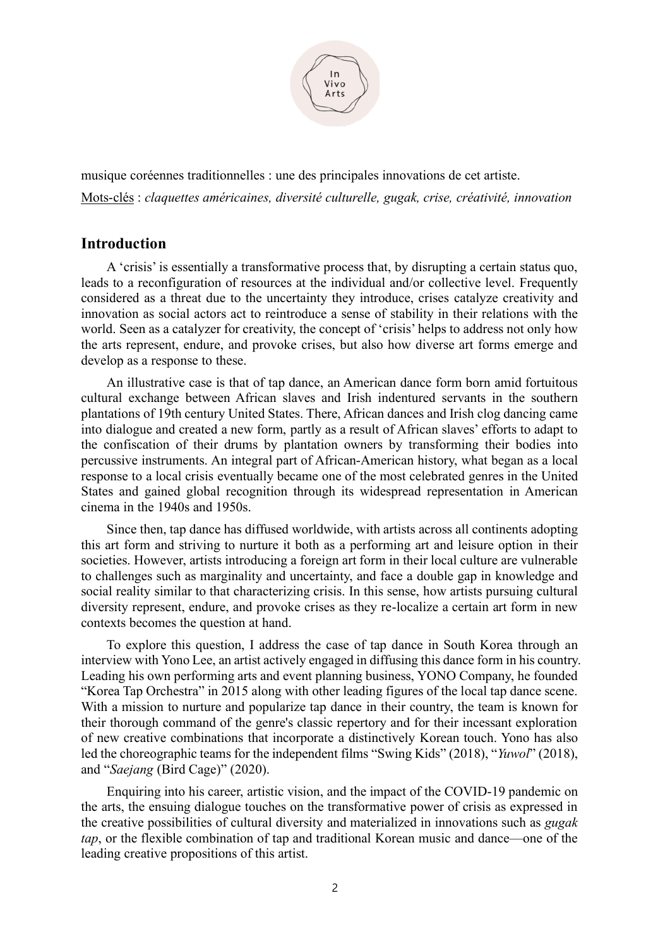

musique coréennes traditionnelles : une des principales innovations de cet artiste. Mots-clés : *claquettes américaines, diversité culturelle, gugak, crise, créativité, innovation* 

## **Introduction**

A 'crisis' is essentially a transformative process that, by disrupting a certain status quo, leads to a reconfiguration of resources at the individual and/or collective level. Frequently considered as a threat due to the uncertainty they introduce, crises catalyze creativity and innovation as social actors act to reintroduce a sense of stability in their relations with the world. Seen as a catalyzer for creativity, the concept of 'crisis' helps to address not only how the arts represent, endure, and provoke crises, but also how diverse art forms emerge and develop as a response to these.

An illustrative case is that of tap dance, an American dance form born amid fortuitous cultural exchange between African slaves and Irish indentured servants in the southern plantations of 19th century United States. There, African dances and Irish clog dancing came into dialogue and created a new form, partly as a result of African slaves' efforts to adapt to the confiscation of their drums by plantation owners by transforming their bodies into percussive instruments. An integral part of African-American history, what began as a local response to a local crisis eventually became one of the most celebrated genres in the United States and gained global recognition through its widespread representation in American cinema in the 1940s and 1950s.

Since then, tap dance has diffused worldwide, with artists across all continents adopting this art form and striving to nurture it both as a performing art and leisure option in their societies. However, artists introducing a foreign art form in their local culture are vulnerable to challenges such as marginality and uncertainty, and face a double gap in knowledge and social reality similar to that characterizing crisis. In this sense, how artists pursuing cultural diversity represent, endure, and provoke crises as they re-localize a certain art form in new contexts becomes the question at hand.

To explore this question, I address the case of tap dance in South Korea through an interview with Yono Lee, an artist actively engaged in diffusing this dance form in his country. Leading his own performing arts and event planning business, YONO Company, he founded "Korea Tap Orchestra" in 2015 along with other leading figures of the local tap dance scene. With a mission to nurture and popularize tap dance in their country, the team is known for their thorough command of the genre's classic repertory and for their incessant exploration of new creative combinations that incorporate a distinctively Korean touch. Yono has also led the choreographic teams for the independent films "Swing Kids" (2018), "*Yuwol*" (2018), and "*Saejang* (Bird Cage)" (2020).

Enquiring into his career, artistic vision, and the impact of the COVID-19 pandemic on the arts, the ensuing dialogue touches on the transformative power of crisis as expressed in the creative possibilities of cultural diversity and materialized in innovations such as *gugak tap*, or the flexible combination of tap and traditional Korean music and dance—one of the leading creative propositions of this artist.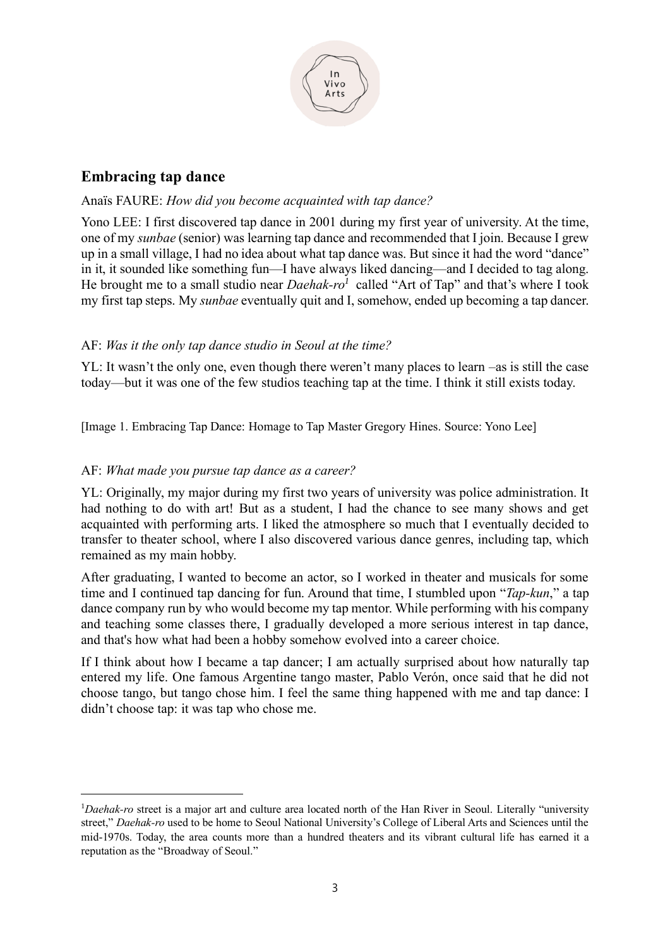

## **Embracing tap dance**

## Anaïs FAURE: *How did you become acquainted with tap dance?*

Yono LEE: I first discovered tap dance in 2001 during my first year of university. At the time, one of my *sunbae* (senior) was learning tap dance and recommended that I join. Because I grew up in a small village, I had no idea about what tap dance was. But since it had the word "dance" in it, it sounded like something fun—I have always liked dancing—and I decided to tag along. He brought me to a small studio near *Daehak-ro<sup>1</sup>* called "Art of Tap" and that's where I took my first tap steps. My *sunbae* eventually quit and I, somehow, ended up becoming a tap dancer.

#### AF: *Was it the only tap dance studio in Seoul at the time?*

YL: It wasn't the only one, even though there weren't many places to learn –as is still the case today—but it was one of the few studios teaching tap at the time. I think it still exists today.

[Image 1. Embracing Tap Dance: Homage to Tap Master Gregory Hines. Source: Yono Lee]

#### AF: *What made you pursue tap dance as a career?*

YL: Originally, my major during my first two years of university was police administration. It had nothing to do with art! But as a student, I had the chance to see many shows and get acquainted with performing arts. I liked the atmosphere so much that I eventually decided to transfer to theater school, where I also discovered various dance genres, including tap, which remained as my main hobby.

After graduating, I wanted to become an actor, so I worked in theater and musicals for some time and I continued tap dancing for fun. Around that time, I stumbled upon "*Tap-kun*," a tap dance company run by who would become my tap mentor. While performing with his company and teaching some classes there, I gradually developed a more serious interest in tap dance, and that's how what had been a hobby somehow evolved into a career choice.

If I think about how I became a tap dancer; I am actually surprised about how naturally tap entered my life. One famous Argentine tango master, Pablo Verón, once said that he did not choose tango, but tango chose him. I feel the same thing happened with me and tap dance: I didn't choose tap: it was tap who chose me.

<sup>1</sup>*Daehak-ro* street is a major art and culture area located north of the Han River in Seoul. Literally "university street," *Daehak-ro* used to be home to Seoul National University's College of Liberal Arts and Sciences until the mid-1970s. Today, the area counts more than a hundred theaters and its vibrant cultural life has earned it a reputation as the "Broadway of Seoul."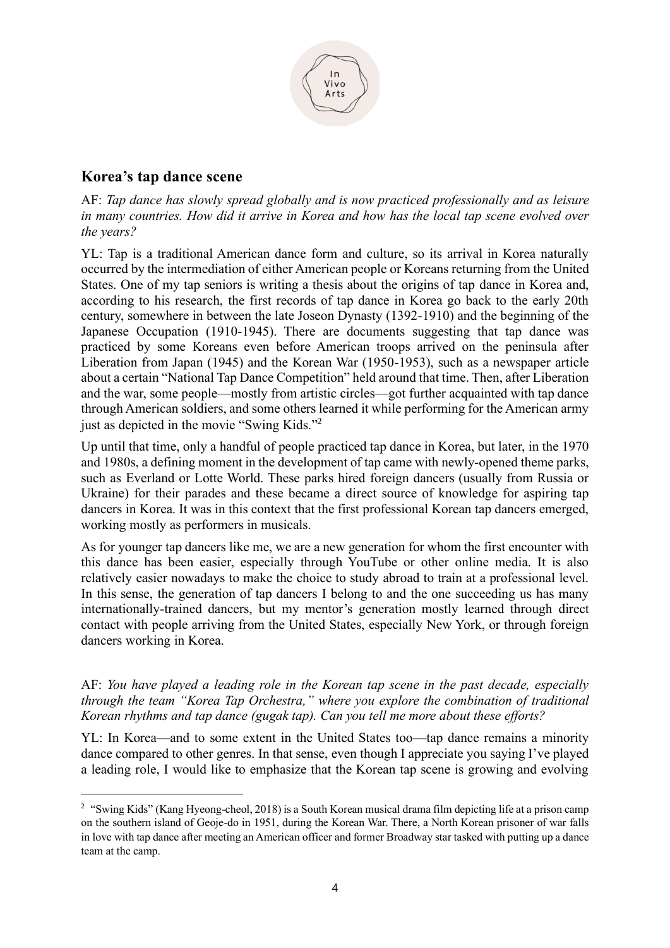

## **Korea's tap dance scene**

AF: *Tap dance has slowly spread globally and is now practiced professionally and as leisure in many countries. How did it arrive in Korea and how has the local tap scene evolved over the years?* 

YL: Tap is a traditional American dance form and culture, so its arrival in Korea naturally occurred by the intermediation of either American people or Koreans returning from the United States. One of my tap seniors is writing a thesis about the origins of tap dance in Korea and, according to his research, the first records of tap dance in Korea go back to the early 20th century, somewhere in between the late Joseon Dynasty (1392-1910) and the beginning of the Japanese Occupation (1910-1945). There are documents suggesting that tap dance was practiced by some Koreans even before American troops arrived on the peninsula after Liberation from Japan (1945) and the Korean War (1950-1953), such as a newspaper article about a certain "National Tap Dance Competition" held around that time. Then, after Liberation and the war, some people—mostly from artistic circles—got further acquainted with tap dance through American soldiers, and some others learned it while performing for the American army just as depicted in the movie "Swing Kids."<sup>2</sup>

Up until that time, only a handful of people practiced tap dance in Korea, but later, in the 1970 and 1980s, a defining moment in the development of tap came with newly-opened theme parks, such as Everland or Lotte World. These parks hired foreign dancers (usually from Russia or Ukraine) for their parades and these became a direct source of knowledge for aspiring tap dancers in Korea. It was in this context that the first professional Korean tap dancers emerged, working mostly as performers in musicals.

As for younger tap dancers like me, we are a new generation for whom the first encounter with this dance has been easier, especially through YouTube or other online media. It is also relatively easier nowadays to make the choice to study abroad to train at a professional level. In this sense, the generation of tap dancers I belong to and the one succeeding us has many internationally-trained dancers, but my mentor's generation mostly learned through direct contact with people arriving from the United States, especially New York, or through foreign dancers working in Korea.

AF: *You have played a leading role in the Korean tap scene in the past decade, especially through the team "Korea Tap Orchestra," where you explore the combination of traditional Korean rhythms and tap dance (gugak tap). Can you tell me more about these efforts?* 

YL: In Korea—and to some extent in the United States too—tap dance remains a minority dance compared to other genres. In that sense, even though I appreciate you saying I've played a leading role, I would like to emphasize that the Korean tap scene is growing and evolving

<sup>&</sup>lt;sup>2</sup> "Swing Kids" (Kang Hyeong-cheol, 2018) is a South Korean musical drama film depicting life at a prison camp on the southern island of Geoje-do in 1951, during the Korean War. There, a North Korean prisoner of war falls in love with tap dance after meeting an American officer and former Broadway star tasked with putting up a dance team at the camp.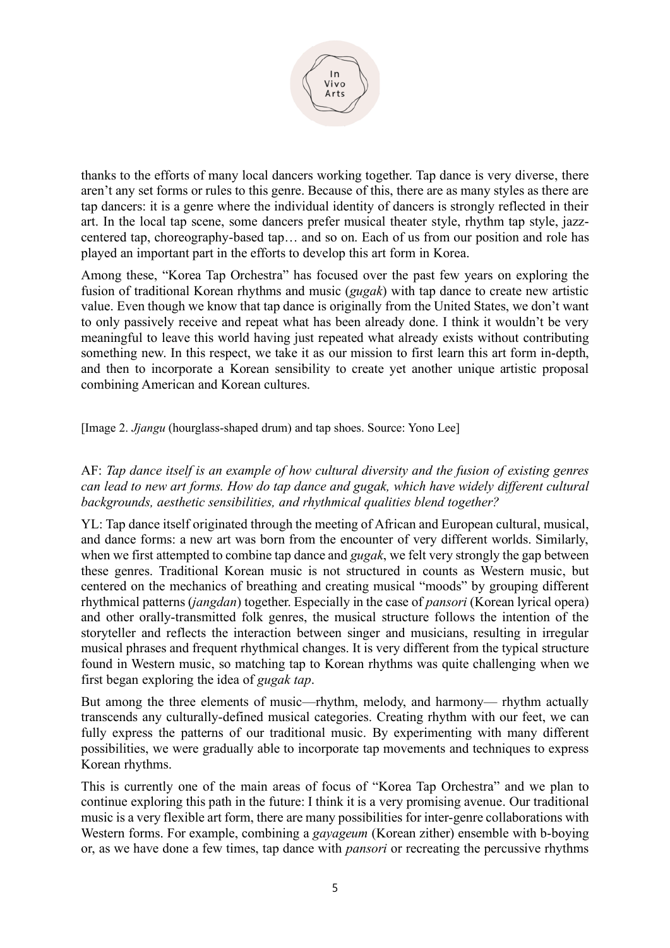

thanks to the efforts of many local dancers working together. Tap dance is very diverse, there aren't any set forms or rules to this genre. Because of this, there are as many styles as there are tap dancers: it is a genre where the individual identity of dancers is strongly reflected in their art. In the local tap scene, some dancers prefer musical theater style, rhythm tap style, jazzcentered tap, choreography-based tap… and so on. Each of us from our position and role has played an important part in the efforts to develop this art form in Korea.

Among these, "Korea Tap Orchestra" has focused over the past few years on exploring the fusion of traditional Korean rhythms and music (*gugak*) with tap dance to create new artistic value. Even though we know that tap dance is originally from the United States, we don't want to only passively receive and repeat what has been already done. I think it wouldn't be very meaningful to leave this world having just repeated what already exists without contributing something new. In this respect, we take it as our mission to first learn this art form in-depth, and then to incorporate a Korean sensibility to create yet another unique artistic proposal combining American and Korean cultures.

[Image 2. *Jjangu* (hourglass-shaped drum) and tap shoes. Source: Yono Lee]

AF: *Tap dance itself is an example of how cultural diversity and the fusion of existing genres can lead to new art forms. How do tap dance and gugak, which have widely different cultural backgrounds, aesthetic sensibilities, and rhythmical qualities blend together?* 

YL: Tap dance itself originated through the meeting of African and European cultural, musical, and dance forms: a new art was born from the encounter of very different worlds. Similarly, when we first attempted to combine tap dance and *gugak*, we felt very strongly the gap between these genres. Traditional Korean music is not structured in counts as Western music, but centered on the mechanics of breathing and creating musical "moods" by grouping different rhythmical patterns (*jangdan*) together. Especially in the case of *pansori* (Korean lyrical opera) and other orally-transmitted folk genres, the musical structure follows the intention of the storyteller and reflects the interaction between singer and musicians, resulting in irregular musical phrases and frequent rhythmical changes. It is very different from the typical structure found in Western music, so matching tap to Korean rhythms was quite challenging when we first began exploring the idea of *gugak tap*.

But among the three elements of music—rhythm, melody, and harmony— rhythm actually transcends any culturally-defined musical categories. Creating rhythm with our feet, we can fully express the patterns of our traditional music. By experimenting with many different possibilities, we were gradually able to incorporate tap movements and techniques to express Korean rhythms.

This is currently one of the main areas of focus of "Korea Tap Orchestra" and we plan to continue exploring this path in the future: I think it is a very promising avenue. Our traditional music is a very flexible art form, there are many possibilities for inter-genre collaborations with Western forms. For example, combining a *gayageum* (Korean zither) ensemble with b-boying or, as we have done a few times, tap dance with *pansori* or recreating the percussive rhythms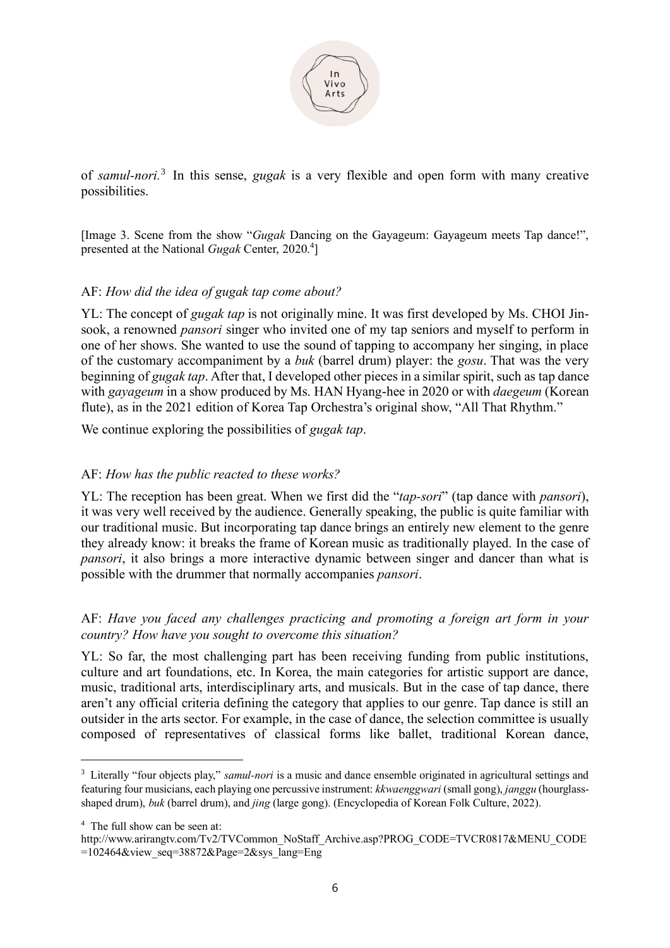

of *samul-nori.* 3 In this sense, *gugak* is a very flexible and open form with many creative possibilities.

[Image 3. Scene from the show "*Gugak* Dancing on the Gayageum: Gayageum meets Tap dance!", presented at the National *Gugak* Center, 2020.<sup>4</sup>]

#### AF: *How did the idea of gugak tap come about?*

YL: The concept of *gugak tap* is not originally mine. It was first developed by Ms. CHOI Jinsook, a renowned *pansori* singer who invited one of my tap seniors and myself to perform in one of her shows. She wanted to use the sound of tapping to accompany her singing, in place of the customary accompaniment by a *buk* (barrel drum) player: the *gosu*. That was the very beginning of *gugak tap*. After that, I developed other pieces in a similar spirit, such as tap dance with *gayageum* in a show produced by Ms. HAN Hyang-hee in 2020 or with *daegeum* (Korean flute), as in the 2021 edition of Korea Tap Orchestra's original show, "All That Rhythm."

We continue exploring the possibilities of *gugak tap*.

#### AF: *How has the public reacted to these works?*

YL: The reception has been great. When we first did the "*tap-sori*" (tap dance with *pansori*), it was very well received by the audience. Generally speaking, the public is quite familiar with our traditional music. But incorporating tap dance brings an entirely new element to the genre they already know: it breaks the frame of Korean music as traditionally played. In the case of *pansori*, it also brings a more interactive dynamic between singer and dancer than what is possible with the drummer that normally accompanies *pansori*.

#### AF: *Have you faced any challenges practicing and promoting a foreign art form in your country? How have you sought to overcome this situation?*

YL: So far, the most challenging part has been receiving funding from public institutions, culture and art foundations, etc. In Korea, the main categories for artistic support are dance, music, traditional arts, interdisciplinary arts, and musicals. But in the case of tap dance, there aren't any official criteria defining the category that applies to our genre. Tap dance is still an outsider in the arts sector. For example, in the case of dance, the selection committee is usually composed of representatives of classical forms like ballet, traditional Korean dance,

<sup>&</sup>lt;sup>3</sup> Literally "four objects play," *samul-nori* is a music and dance ensemble originated in agricultural settings and featuring four musicians, each playing one percussive instrument: *kkwaenggwari* (small gong), *janggu* (hourglassshaped drum), *buk* (barrel drum), and *jing* (large gong). (Encyclopedia of Korean Folk Culture, 2022).

<sup>4</sup> The full show can be seen at:

http://www.arirangtv.com/Tv2/TVCommon\_NoStaff\_Archive.asp?PROG\_CODE=TVCR0817&MENU\_CODE =102464&view\_seq=38872&Page=2&sys\_lang=Eng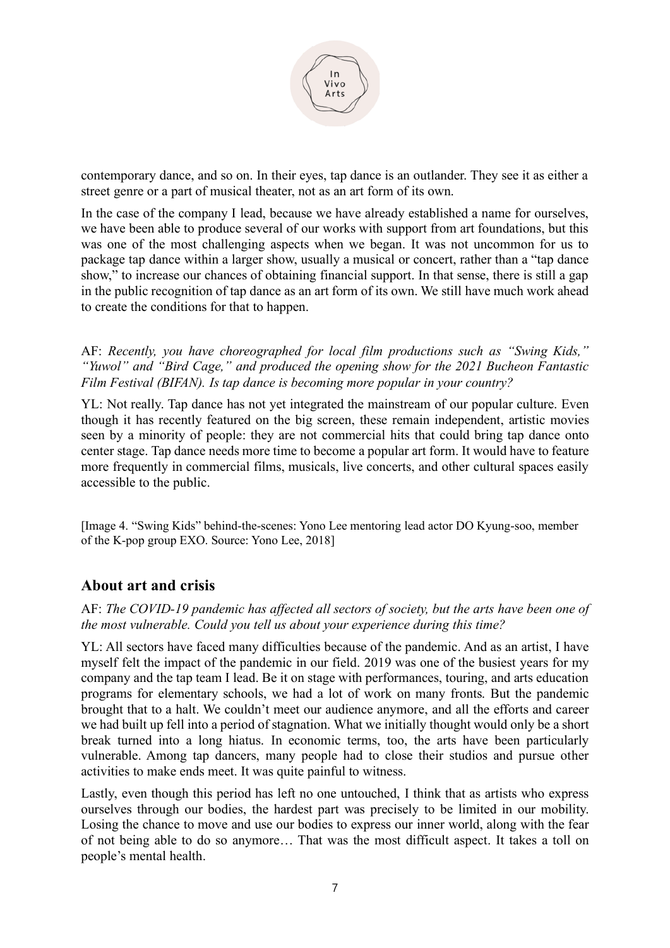

contemporary dance, and so on. In their eyes, tap dance is an outlander. They see it as either a street genre or a part of musical theater, not as an art form of its own.

In the case of the company I lead, because we have already established a name for ourselves, we have been able to produce several of our works with support from art foundations, but this was one of the most challenging aspects when we began. It was not uncommon for us to package tap dance within a larger show, usually a musical or concert, rather than a "tap dance show," to increase our chances of obtaining financial support. In that sense, there is still a gap in the public recognition of tap dance as an art form of its own. We still have much work ahead to create the conditions for that to happen.

AF: *Recently, you have choreographed for local film productions such as "Swing Kids," "Yuwol" and "Bird Cage," and produced the opening show for the 2021 Bucheon Fantastic Film Festival (BIFAN). Is tap dance is becoming more popular in your country?*

YL: Not really. Tap dance has not yet integrated the mainstream of our popular culture. Even though it has recently featured on the big screen, these remain independent, artistic movies seen by a minority of people: they are not commercial hits that could bring tap dance onto center stage. Tap dance needs more time to become a popular art form. It would have to feature more frequently in commercial films, musicals, live concerts, and other cultural spaces easily accessible to the public.

[Image 4. "Swing Kids" behind-the-scenes: Yono Lee mentoring lead actor DO Kyung-soo, member of the K-pop group EXO. Source: Yono Lee, 2018]

## **About art and crisis**

AF: *The COVID-19 pandemic has affected all sectors of society, but the arts have been one of the most vulnerable. Could you tell us about your experience during this time?*

YL: All sectors have faced many difficulties because of the pandemic. And as an artist, I have myself felt the impact of the pandemic in our field. 2019 was one of the busiest years for my company and the tap team I lead. Be it on stage with performances, touring, and arts education programs for elementary schools, we had a lot of work on many fronts. But the pandemic brought that to a halt. We couldn't meet our audience anymore, and all the efforts and career we had built up fell into a period of stagnation. What we initially thought would only be a short break turned into a long hiatus. In economic terms, too, the arts have been particularly vulnerable. Among tap dancers, many people had to close their studios and pursue other activities to make ends meet. It was quite painful to witness.

Lastly, even though this period has left no one untouched, I think that as artists who express ourselves through our bodies, the hardest part was precisely to be limited in our mobility. Losing the chance to move and use our bodies to express our inner world, along with the fear of not being able to do so anymore… That was the most difficult aspect. It takes a toll on people's mental health.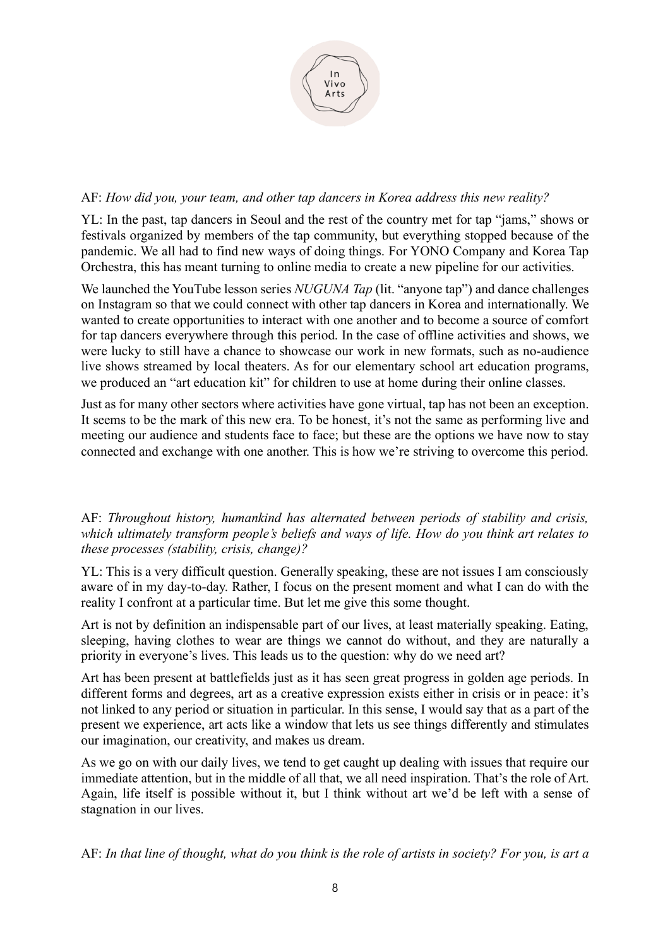

#### AF: *How did you, your team, and other tap dancers in Korea address this new reality?*

YL: In the past, tap dancers in Seoul and the rest of the country met for tap "jams," shows or festivals organized by members of the tap community, but everything stopped because of the pandemic. We all had to find new ways of doing things. For YONO Company and Korea Tap Orchestra, this has meant turning to online media to create a new pipeline for our activities.

We launched the YouTube lesson series *NUGUNA Tap* (lit. "anyone tap") and dance challenges on Instagram so that we could connect with other tap dancers in Korea and internationally. We wanted to create opportunities to interact with one another and to become a source of comfort for tap dancers everywhere through this period. In the case of offline activities and shows, we were lucky to still have a chance to showcase our work in new formats, such as no-audience live shows streamed by local theaters. As for our elementary school art education programs, we produced an "art education kit" for children to use at home during their online classes.

Just as for many other sectors where activities have gone virtual, tap has not been an exception. It seems to be the mark of this new era. To be honest, it's not the same as performing live and meeting our audience and students face to face; but these are the options we have now to stay connected and exchange with one another. This is how we're striving to overcome this period.

#### AF: *Throughout history, humankind has alternated between periods of stability and crisis, which ultimately transform people's beliefs and ways of life. How do you think art relates to these processes (stability, crisis, change)?*

YL: This is a very difficult question. Generally speaking, these are not issues I am consciously aware of in my day-to-day. Rather, I focus on the present moment and what I can do with the reality I confront at a particular time. But let me give this some thought.

Art is not by definition an indispensable part of our lives, at least materially speaking. Eating, sleeping, having clothes to wear are things we cannot do without, and they are naturally a priority in everyone's lives. This leads us to the question: why do we need art?

Art has been present at battlefields just as it has seen great progress in golden age periods. In different forms and degrees, art as a creative expression exists either in crisis or in peace: it's not linked to any period or situation in particular. In this sense, I would say that as a part of the present we experience, art acts like a window that lets us see things differently and stimulates our imagination, our creativity, and makes us dream.

As we go on with our daily lives, we tend to get caught up dealing with issues that require our immediate attention, but in the middle of all that, we all need inspiration. That's the role of Art. Again, life itself is possible without it, but I think without art we'd be left with a sense of stagnation in our lives.

AF: *In that line of thought, what do you think is the role of artists in society? For you, is art a*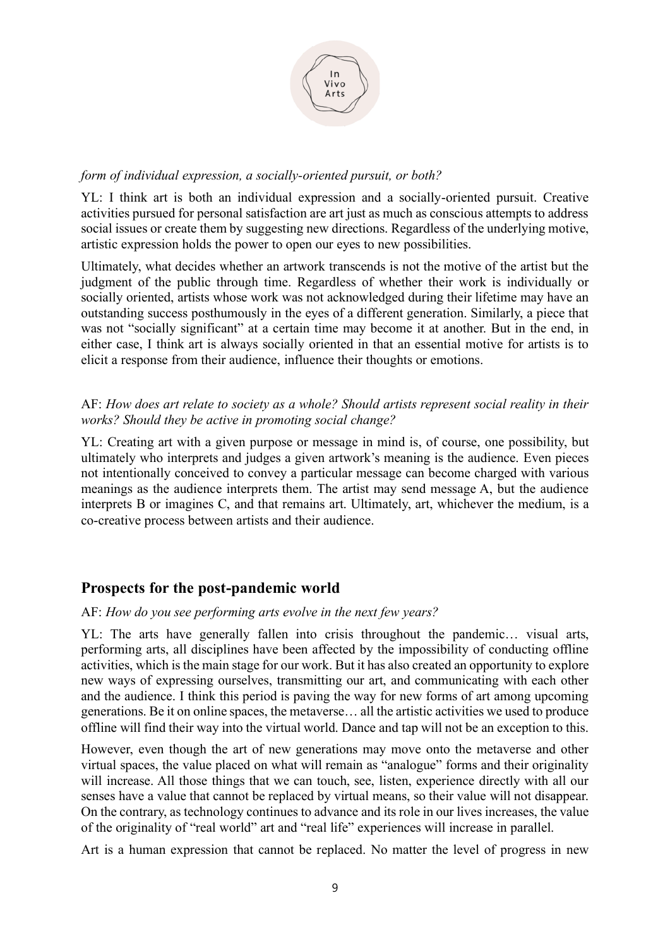

## *form of individual expression, a socially-oriented pursuit, or both?*

YL: I think art is both an individual expression and a socially-oriented pursuit. Creative activities pursued for personal satisfaction are art just as much as conscious attempts to address social issues or create them by suggesting new directions. Regardless of the underlying motive, artistic expression holds the power to open our eyes to new possibilities.

Ultimately, what decides whether an artwork transcends is not the motive of the artist but the judgment of the public through time. Regardless of whether their work is individually or socially oriented, artists whose work was not acknowledged during their lifetime may have an outstanding success posthumously in the eyes of a different generation. Similarly, a piece that was not "socially significant" at a certain time may become it at another. But in the end, in either case, I think art is always socially oriented in that an essential motive for artists is to elicit a response from their audience, influence their thoughts or emotions.

## AF: *How does art relate to society as a whole? Should artists represent social reality in their works? Should they be active in promoting social change?*

YL: Creating art with a given purpose or message in mind is, of course, one possibility, but ultimately who interprets and judges a given artwork's meaning is the audience. Even pieces not intentionally conceived to convey a particular message can become charged with various meanings as the audience interprets them. The artist may send message A, but the audience interprets B or imagines C, and that remains art. Ultimately, art, whichever the medium, is a co-creative process between artists and their audience.

## **Prospects for the post-pandemic world**

#### AF: *How do you see performing arts evolve in the next few years?*

YL: The arts have generally fallen into crisis throughout the pandemic… visual arts, performing arts, all disciplines have been affected by the impossibility of conducting offline activities, which is the main stage for our work. But it has also created an opportunity to explore new ways of expressing ourselves, transmitting our art, and communicating with each other and the audience. I think this period is paving the way for new forms of art among upcoming generations. Be it on online spaces, the metaverse… all the artistic activities we used to produce offline will find their way into the virtual world. Dance and tap will not be an exception to this.

However, even though the art of new generations may move onto the metaverse and other virtual spaces, the value placed on what will remain as "analogue" forms and their originality will increase. All those things that we can touch, see, listen, experience directly with all our senses have a value that cannot be replaced by virtual means, so their value will not disappear. On the contrary, as technology continues to advance and its role in our lives increases, the value of the originality of "real world" art and "real life" experiences will increase in parallel.

Art is a human expression that cannot be replaced. No matter the level of progress in new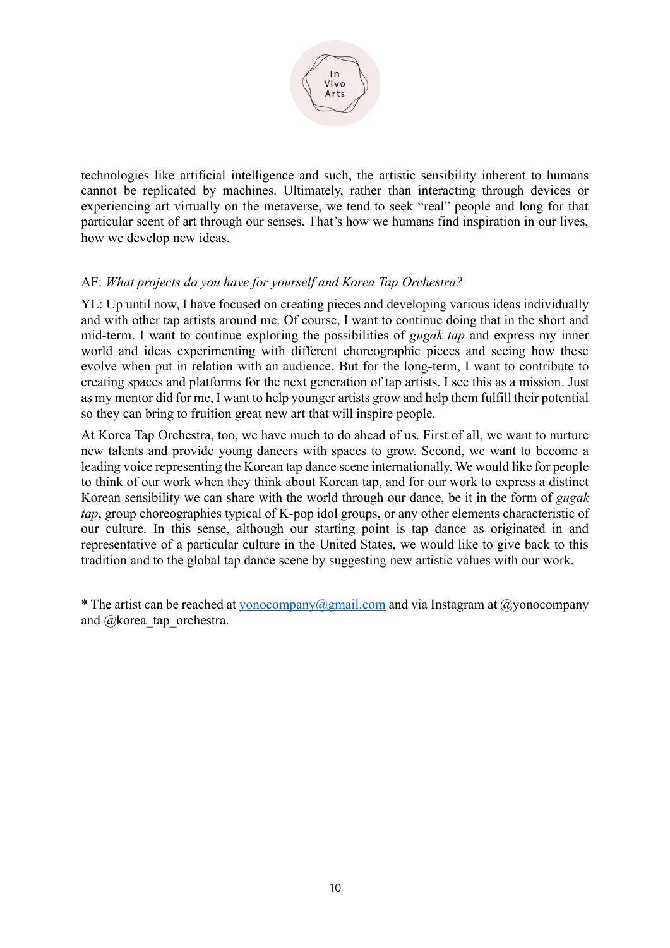

technologies like artificial intelligence and such, the artistic sensibility inherent to humans cannot be replicated by machines. Ultimately, rather than interacting through devices or experiencing art virtually on the metaverse, we tend to seek "real" people and long for that particular scent of art through our senses. That's how we humans find inspiration in our lives, how we develop new ideas.

## AF: *What projects do you have for yourself and Korea Tap Orchestra?*

YL: Up until now, I have focused on creating pieces and developing various ideas individually and with other tap artists around me. Of course, I want to continue doing that in the short and mid-term. I want to continue exploring the possibilities of *gugak tap* and express my inner world and ideas experimenting with different choreographic pieces and seeing how these evolve when put in relation with an audience. But for the long-term, I want to contribute to creating spaces and platforms for the next generation of tap artists. I see this as a mission. Just as my mentor did for me, I want to help younger artists grow and help them fulfill their potential so they can bring to fruition great new art that will inspire people.

At Korea Tap Orchestra, too, we have much to do ahead of us. First of all, we want to nurture new talents and provide young dancers with spaces to grow. Second, we want to become a leading voice representing the Korean tap dance scene internationally. We would like for people to think of our work when they think about Korean tap, and for our work to express a distinct Korean sensibility we can share with the world through our dance, be it in the form of *gugak tap*, group choreographies typical of K-pop idol groups, or any other elements characteristic of our culture. In this sense, although our starting point is tap dance as originated in and representative of a particular culture in the United States, we would like to give back to this tradition and to the global tap dance scene by suggesting new artistic values with our work.

\* The artist can be reached at [yonocompany@gmail.com](mailto:yonocompany@gmail.com) and via Instagram at @yonocompany and @korea\_tap\_orchestra.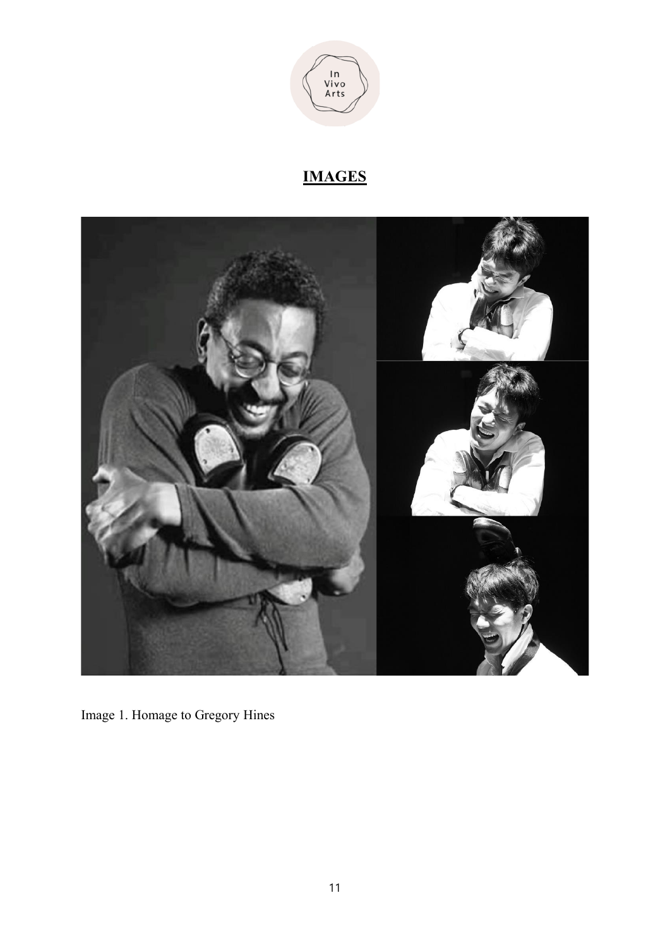

**IMAGES**



Image 1. Homage to Gregory Hines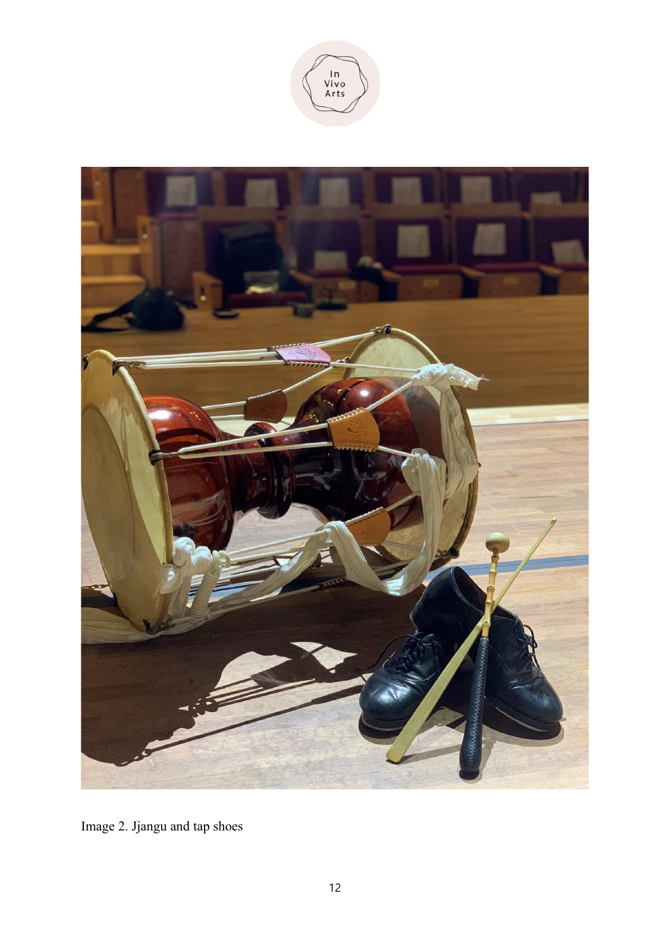



Image 2. Jjangu and tap shoes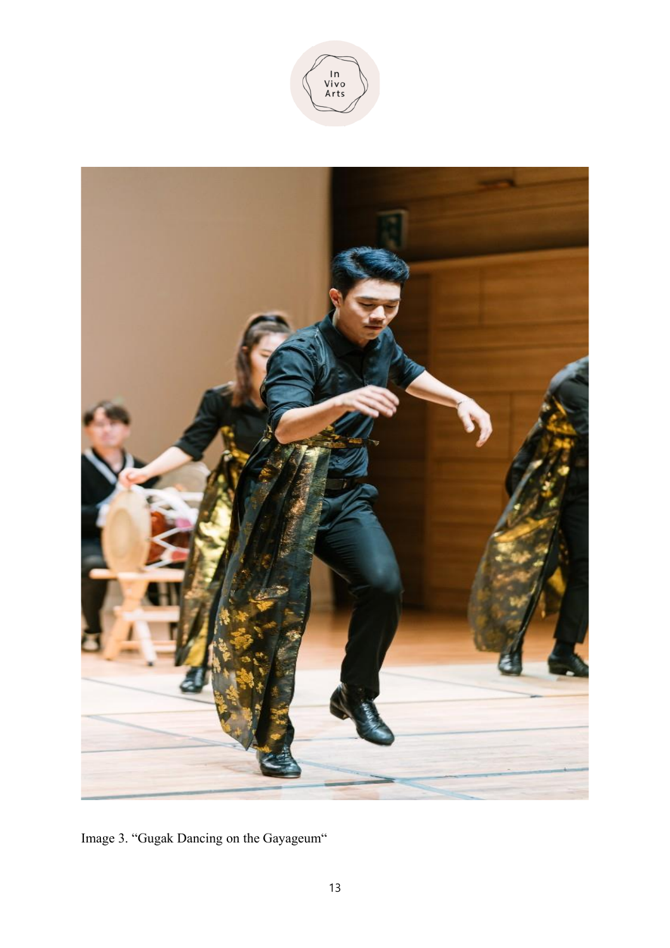



Image 3. "Gugak Dancing on the Gayageum"